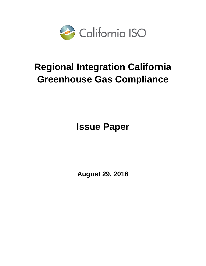

# **Regional Integration California Greenhouse Gas Compliance**

**Issue Paper**

**August 29, 2016**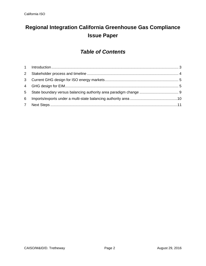## **Regional Integration California Greenhouse Gas Compliance Issue Paper**

### *Table of Contents*

| 2               |  |
|-----------------|--|
|                 |  |
|                 |  |
| 5 <sup>5</sup>  |  |
| $6\overline{6}$ |  |
|                 |  |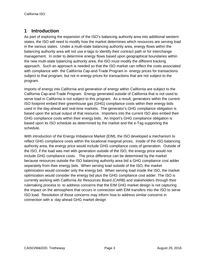#### <span id="page-2-0"></span>**1 Introduction**

As part of exploring the expansion of the ISO's balancing authority area into additional western states, the ISO will need to modify how the market determines which resources are serving load in the various states. Under a multi-state balancing authority area, energy flows within the balancing authority area will not use e-tags to identify their contract path or for interchange management. In order to determine energy flows based upon geographical boundaries within the new multi-state balancing authority area, the ISO must modify the different tracking approach. Such an approach is needed so that the ISO market can reflect the costs associated with compliance with the California Cap-and-Trade Program in energy prices for transactions subject to that program, but not in energy prices for transactions that are not subject to the program.

Imports of energy into California and generation of energy within California are subject to the California Cap-and-Trade Program. Energy generated outside of California that is not used to serve load in California is not subject to this program. As a result, generators within the current ISO footprint embed their greenhouse gas (GHG) compliance costs within their energy bids used in the day-ahead and real-time markets. The generator's GHG compliance obligation is based upon the actual output of that resource. Importers into the current ISO also embed their GHG compliance costs within their energy bids. An import's GHG compliance obligation is based upon its ISO schedule as determined by the market and the e-Tag supporting the schedule.

With introduction of the Energy Imbalance Market (EIM), the ISO developed a mechanism to reflect GHG compliance costs within the locational marginal prices. Inside of the ISO balancing authority area, the energy price would include GHG compliance costs of generation. Outside of the ISO, if the load was met with generation outside of the ISO, the energy price would not include GHG compliance costs. The price difference can be determined by the market because resources outside the ISO balancing authority area bid a GHG compliance cost adder separately from their energy bids. When serving load outside of the ISO, the market optimization would consider only the energy bid. When serving load inside the ISO, the market optimization would consider the energy bid plus the GHG compliance cost adder. The ISO is currently working with California Air Resources Board (CARB) and stakeholders through their rulemaking process to to address concerns that the EIM GHG market design is not capturing the impact on the atmosphere that occurs in connection with EIM transfers into the ISO to serve ISO load. Resolution of those concerns may inform how to address similar concerns in connection with a day-ahead GHG market design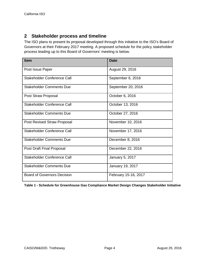#### <span id="page-3-0"></span>**2 Stakeholder process and timeline**

The ISO plans to present its proposal developed through this initiative to the ISO's Board of Governors at their February 2017 meeting. A proposed schedule for the policy stakeholder process leading up to this Board of Governors' meeting is below.

| <b>Item</b>                        | <b>Date</b>          |
|------------------------------------|----------------------|
| Post Issue Paper                   | August 29, 2016      |
| Stakeholder Conference Call        | September 6, 2016    |
| <b>Stakeholder Comments Due</b>    | September 20, 2016   |
| Post Straw Proposal                | October 6, 2016      |
| Stakeholder Conference Call        | October 13, 2016     |
| <b>Stakeholder Comments Due</b>    | October 27, 2016     |
| <b>Post Revised Straw Proposal</b> | November 10, 2016    |
| Stakeholder Conference Call        | November 17, 2016    |
| <b>Stakeholder Comments Due</b>    | December 8, 2016     |
| Post Draft Final Proposal          | December 22, 2016    |
| Stakeholder Conference Call        | January 5, 2017      |
| <b>Stakeholder Comments Due</b>    | January 19, 2017     |
| <b>Board of Governors Decision</b> | February 15-16, 2017 |

**Table 1 - Schedule for Greenhouse Gas Compliance Market Design Changes Stakeholder Initiative**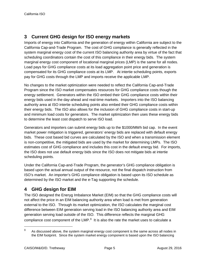#### <span id="page-4-0"></span>**3 Current GHG design for ISO energy markets**

Imports of energy into California and the generation of energy within California are subject to the California Cap-and-Trade Program. The cost of GHG compliance is generally reflected in the system marginal energy cost of the current ISO balancing authority area by virtue of the fact that scheduling coordinators contain the cost of this compliance in their energy bids. The system marginal energy cost component of locational marginal prices (LMP) is the same for all nodes. Load pays for GHG compliance costs at its load aggregation point price and generation is compensated for its GHG compliance costs at its LMP. At intertie scheduling points, exports pay for GHG costs through the LMP and imports receive the applicable LMP.

No changes to the market optimization were needed to reflect the California Cap-and-Trade Program since the ISO market compensates resources for GHG compliance costs though the energy settlement. Generators within the ISO embed their GHG compliance costs within their energy bids used in the day-ahead and real-time markets. Importers into the ISO balancing authority area at ISO intertie scheduling points also embed their GHG compliance costs within their energy bids. The ISO also allows for the inclusion of GHG compliance costs in start-up and minimum load costs for generators. The market optimization then uses these energy bids to determine the least cost dispatch to serve ISO load.

Generators and importers can submit energy bids up to the \$1000/MWh bid cap. In the event market power mitigation is triggered, generators' energy bids are replaced with default energy bids. These cost based bid curves are calculated by the ISO and when a transmission element is non-competitive, the mitigated bids are used by the market for determining LMPs. The ISO estimates cost of GHG compliance and includes this cost in the default energy bid. For imports, the ISO does not use default energy bids since the ISO does not mitigate bids at intertie scheduling points.

Under the California Cap-and-Trade Program, the generator's GHG compliance obligation is based upon the actual annual output of the resource, not the final dispatch instruction from ISO's market. An importer's GHG compliance obligation is based upon its ISO schedule as determined by the ISO market and the e-Tag supporting the schedule.

#### <span id="page-4-1"></span>**4 GHG design for EIM**

The ISO designed the Eneryg Imbalance Market (EIM) so that the GHG compliance costs will not affect the price in an EIM balancing authority area when load is met from generation external to the ISO. Through its market optimization, the ISO calculates the marginal cost difference between EIM generation serving load in the ISO balancing authority area and EIM generation serving load outside of the ISO. This difference reflects the marginal GHG compliance cost component of the LMP.<sup>[1](#page-4-2)</sup> It is also the rate the market uses to calculate a

<span id="page-4-2"></span>**<sup>1</sup>** As discussed above, the system marginal energy cost component is the same across all nodes in the EIM footprint. Since the system market energy component is based upon the ISO balancing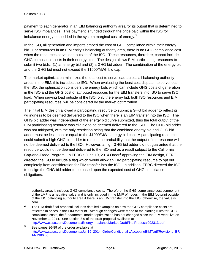payment to each generator in an EIM balancing authority area for its output that is determined to serve ISO imbalances. This payment is funded through the price paid within the ISO for imbalance energy embedded in the system marginal cost of energy. **[2](#page-5-0)**

In the ISO, all generation and imports embed the cost of GHG compliance within their energy bid. For resources in an EIM entity's balancing authority area, there is no GHG compliance cost when the resources serve load outside of the ISO. These resources, therefore, cannot include GHG compliance costs in their energy bids. The design allows EIM participating resources to submit two bids: (1) an energy bid and (2) a GHG bid adder. The combination of the energy bid and the GHG bid must not exceed the \$1000/MWh bid cap.

The market optimization minimizes the total cost to serve load across all balancing authority areas in the EIM, this includes the ISO. When evaluating the least cost dispatch to serve load in the ISO, the optimization considers the energy bids which can include GHG costs of generation in the ISO and the GHG cost of attributed resouces for the EIM transfers into ISO to serve ISO load. When serving load outside of the ISO, only the energy bid, both ISO resources and EIM participating resources, will be considered by the market optimization.

The initial EIM design allowed a participating resource to submit a GHG bid adder to reflect its willingness to be deemed delivered to the ISO when there is an EIM transfer into the ISO. The GHG bid adder was independent of the energy bid curve submitted, thus the total output of the EIM participating resource was eligible to be deemed delivered to the ISO. The GHG bid adder was not mitigated, with the only restriction being that the combined energy bid and GHG bid adder must be less than or equal to the \$1000/MWh energy bid cap. A participating resource could submit a high GHG bid adder to reduce the probability that the output of the resource will not be deemed delivered to the ISO. However, a high GHG bid adder did not guarantee that the resource would not be deemed delivered to the ISO and as a result subject to the California Cap-and-Trade Program. In FERC's June 19, 2014 Order**[3](#page-5-1)** approving the EIM design, FERC directed the ISO to include a flag which would allow an EIM participating resource to opt out completely from consideration for EIM transfer into the ISO. In addition, FERC directed the ISO to design the GHG bid adder to be based upon the expected cost of GHG compliance obligations.

authority area, it includes GHG compliance costs. Therefore, the GHG compliance cost component of the LMP is a negative value and is only included in the LMP of nodes in the EIM footprint outside of the ISO balancing authority area if there is an EIM transfer into the ISO; otherwise, the value is zero.

- <span id="page-5-0"></span><sup>2</sup> The EIM draft final proposal includes detailed examples on how the GHG compliance costs are reflected in prices in the EIM footprint. Although changes were made to the bidding rules for GHG compliance costs, the fundamental market optimization has not changed since the EIM went live on November 1, 2014. See section 3.9 of the draft proposal available at <http://www.caiso.com/Documents/EnergyImbalanceMarket-DraftFinalProposal092313.pdf>
- <span id="page-5-1"></span>**<sup>3</sup>** See pages 86-89 of the order available at [http://www.caiso.com/Documents/Jun19\\_2014\\_OrderConditionallyAcceptingEIMTariffRevisions\\_ER](http://www.caiso.com/Documents/Jun19_2014_OrderConditionallyAcceptingEIMTariffRevisions_ER14-1386.pdf) [14-1386.pdf](http://www.caiso.com/Documents/Jun19_2014_OrderConditionallyAcceptingEIMTariffRevisions_ER14-1386.pdf)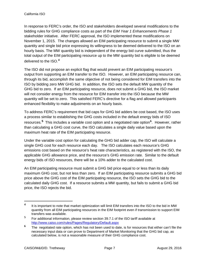In response to FERC's order, the ISO and stakeholders developed several modifications to the bidding rules for GHG compliance costs as part of the *EIM Year 1 Enhancements Phase 1* stakeholder initiative. After FERC approval, the ISO implemented these modifications on November 1, 2015. The changes allowed an EIM participating resource to submit a single MW quantity and single bid price expressing its willingness to be deemed delivered to the ISO on an hourly basis. The MW quantity bid is independent of the energy bid curve submitted, thus the total output of the EIM participating resource up to the MW quantity bid is eligible to be deemed delivered to the ISO. **[4](#page-6-0)**

The ISO did not propose an explicit flag that would prevent an EIM participating resource's output from supporting an EIM transfer to the ISO. However, an EIM participating resource can, through its bid, accomplish the same objective of not being considered for EIM transfers into the ISO by bidding zero MW GHG bid. In addition, the ISO sets the default MW quantity of the GHG bid to zero. If an EIM participating resource, does not submit a GHG bid, the ISO market will not consider energy from the resource for EIM transfer into the ISO because the MW quantity will be set to zero. This satisfied FERC's directive for a flag and allowed participants enhanced flexibility to make adjustments on an hourly basis.

To address FERC's requirement that bid caps for GHG bid adders be cost based, the ISO uses a process similar to establishing the GHG costs included in the default energy bids of ISO resources.**[5](#page-6-1)** This includes a variable cost option and a negotiated rate option**[6](#page-6-2)** . However, rather than calculating a GHG cost curve, the ISO calculates a single daily value based upon the maximum heat rate of the EIM participating resource.

Under the variable cost option for calculating the GHG bid adder cap, the ISO will calculate a single GHG cost for each resource each day. The ISO calculates each resource's GHG emissions cost based on the resource's heat rate characteristics, as registered with the ISO, the applicable GHG allowance price, and the resource's GHG emission rate. Similar to the default energy bids of ISO resources, there will be a 10% adder to the calculated cost.

An EIM participating resource must submit a GHG bid price equal to or less than its daily maximum GHG cost, but not less than zero. If an EIM participating resource submits a GHG bid price above the GHG cost of the EIM participating resource, the ISO sets the GHG bid to the calculated daily GHG cost. If a resource submits a MW quantity, but fails to submit a GHG bid price, the ISO rejects the bid.

<span id="page-6-0"></span>**<sup>4</sup>** It is important to note that market optimization will limit EIM transfers into the ISO to the bid in MW quantity from all EIM participating resources in the EIM footprint even if transmission to support EIM transfers was available.

<span id="page-6-1"></span>**<sup>5</sup>** For additional information, please review section 39.7.1 of the ISO tariff available at <http://www.caiso.com/rules/Pages/Regulatory/Default.aspx>

<span id="page-6-2"></span>**<sup>6</sup>** The negotiated rate option, which has not been used to date, is for resources that either can't file the necessary input data or can prove to Department of Market Monitoring that the GHG bid cap, as calculated below, is not a reasonable measure of their GHG compliance cost.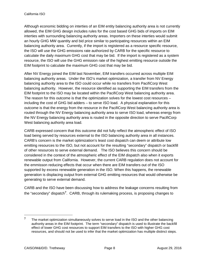Although economic bidding on interties of an EIM entity balancing authority area is not currently allowed, the EIM GHG design includes rules for the cost based GHG bids of imports on EIM interties with surrounding balancing authority areas. Importers on these interties would submit an hourly GHG MW quantity and bid price similar to participating resources within an EIM balancing authority area. Currently, if the import is registered as a resource specific resource, the ISO will use the GHG emissions rate authorized by CARB for the specific resource to calculate the daily maximum GHG cost that may be bid. If the import is registered as a system resource, the ISO will use the GHG emission rate of the highest emitting resource outside the EIM footprint to calculate the maximum GHG cost that may be bid.

After NV Energy joined the EIM last November, EIM transfers occurred across multiple EIM balancing authority areas. Under the ISO's market optimization, a transfer from NV Energy balancing authority area to the ISO could occur while no transfers from PacifiCorp West balancing authority. However, the resource identified as supporting the EIM transfers from the EIM footprint to the ISO may be located within the PacifiCorp West balancing authority area. The reason for this outcome is that the optimization solves for the lowest cost resources – including the cost of GHG bid adders – to serve ISO load. A physical explanation for this outcome is that the energy from the resource in the PacifiCorp West balancing authority area is routed through the NV Energy balancing authority area to serve ISO load, whereas energy from the NV Energy balancing authority area is routed in the opposite direction to serve PacifiCorp West balancing authority area load.

CARB expressed concern that this outcome did not fully reflect the atmospheric effect of ISO load being served by resources external to the ISO balancing authority area in all instances. CARB's concern is the market optimization's least cost dispatch can deem or attribute low emitting resources to the ISO, but not account for the resulting "secondary" dispatch or backfill of other resources to serve external demand. The ISO believes this concern should be considered in the context of the atmospheric effect of the EIM dispatch also when it exports renewable output from California. However, the current CARB regulation does not account for the emmisson reducing effects that occur when there are EIM transfers out of the ISO supported by excess renewable generation in the ISO. When this happens, the renewable generation is displacing output from external GHG emitting resources that would otherwise be generating to serve external demand.

CARB and the ISO have been discussing how to address the leakage concerns resulting from the "secondary" dispatch**[7](#page-7-0)** . CARB, through its rulemaking process, is proposing changes to

l

<span id="page-7-0"></span>**<sup>7</sup>** The market optimization simultaneously solves to serve load in the ISO and the other balancing authority areas in the EIM footprint. The term "secondary" dispatch is used to illustrate the backfill effect of lower GHG cost resources to support EIM transfers to the ISO with higher GHG cost resources, and should not be used to infer that the market optimization has multiple distinct steps.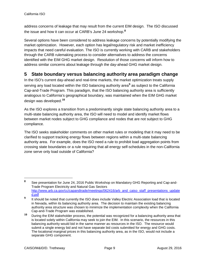address concerns of leakage that may result from the current EIM design. The ISO discussed the issue and how it can occur at CARB's June 24 workshop. **[8](#page-8-1)**

Several options have been considered to address leakage concerns by potentially modifying the market optimization. However, each option has legal/regulatory risk and market inefficiency impacts that need careful evaluation. The ISO is currently working with CARB and stakeholders through the CARB rulemaking process to consider alternatives to address the concerns identified with the EIM GHG market design. Resolution of those concerns will inform how to address similar concerns about leakage through the day-ahead GHG market design.

#### <span id="page-8-0"></span>**5 State boundary versus balancing authority area paradigm change**

In the ISO's current day-ahead and real-time markets, the market optimization treats supply serving any load located within the ISO balancing authority area**[9](#page-8-2)** as subject to the California Cap-and-Trade Program. This paradigm, that the ISO balancing authority area is sufficiently analogous to California's geographical boundary, was maintained when the EIM GHG market design was developed. **[10](#page-8-3)**

As the ISO explores a transition from a predominantly single state balancing authority area to a multi-state balancing authority area, the ISO will need to model and identify market flows between market nodes subject to GHG compliance and nodes that are not subject to GHG compliance.

The ISO seeks stakeholder comments on other market rules or modeling that it may need to be clarified to support tracking energy flows between regions within a multi-state balancing authority area. For example, does the ISO need a rule to prohibit load aggregation points from crossing state boundaries or a rule requiring that all energy self-schedules in the non-California zone serve only load outside of California?

<span id="page-8-1"></span>**<sup>8</sup>** See presentation for June 24, 2016 Public Workshop on Mandatory GHG Reporting and Cap-and-Trade Program Electricity and Natural Gas Sectors [http://www.arb.ca.gov/cc/capandtrade/meetings/062416/arb\\_and\\_caiso\\_staff\\_presentations\\_update](http://www.arb.ca.gov/cc/capandtrade/meetings/062416/arb_and_caiso_staff_presentations_updated.pdf) [d.pdf](http://www.arb.ca.gov/cc/capandtrade/meetings/062416/arb_and_caiso_staff_presentations_updated.pdf)

<span id="page-8-2"></span>**<sup>9</sup>** It should be noted that currently the ISO does include Valley Electric Association load that is located in Nevada, within its balancing authority area. The decision to maintain the existing balancing authority area structure was chosen to minimize the implementation complexity when the California Cap-and-Trade Program was established.

<span id="page-8-3"></span>**<sup>10</sup>** During the EIM stakeholder process, the potential was recognized for a balancing authority area that is located solely within California may seek to join the EIM. In this scenario, the resources in this balancing authority would bid in the same manner as resources in the ISO. The resource would submit a single energy bid and not have separate bid costs submitted for energy and GHG costs. The locational marginal prices in this balancing authority area, as in the ISO, would not include a separate GHG component.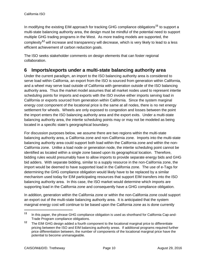In modifying the existing EIM approach for tracking GHG compliance obligations**[11](#page-9-1)** to support a multi-state balancing authority area, the design must be mindful of the potential need to support multiple GHG trading programs in the West. As more trading models are supported, the complexity**[12](#page-9-2)** will increase and transparency will decrease, which is very likely to lead to a less efficient achievement of carbon reduction goals.

The ISO seeks stakeholder comments on design elements that can foster regional collaboration.

#### <span id="page-9-0"></span>**6 Imports/exports under a multi-state balancing authority area**

Under the current paradigm, an import to the ISO balancing authority area is considered to serve load within California, an export from the ISO is sourced from generation within California, and a wheel may serve load outside of California with generation outside of the ISO balancing authority area. Thus the market model assumes that all market nodes used to represent intertie scheduling points for imports and exports with the ISO involve either imports serving load in California or exports sourced from generation within California. Since the system marginal energy cost component of the locational price is the same at all nodes, there is no net energy settlement for wheels. Wheels are only exposed to congestion and losses between the point the import enters the ISO balancing authority area and the export exits. Under a multi-state balancing authority area, the intertie scheduling points may or may not be modeled as being located in a specific state's georgraphical boundary.

For discussion purposes below, we assume there are two regions within the multi-state balancing authority area, a California zone and non-California zone. Imports into the multi-state balancing authority area could support both load within the California zone and within the non-California zone. Unlike a load node or generation node, the intertie scheduling point cannot be identified as located within a single zone based upon its geographical location. Therefore, bidding rules would presumably have to allow imports to provide separate energy bids and GHG bid adders. With separate bidding, similar to a supply resource in the non-California zone, the import would be deemed to have supported load in the California zone. The use of e-Tags for determining the GHG compliance obligation would likely have to be replaced by a similar mechanism used today for EIM participating resources that support EIM transfers into the ISO balancing authority area. In this case, the ISO market would determine which imports are supporting load in the California zone and consequently have a GHG compliance obligation.

In addition, generation within the California zone or within the non-California zone could support an export out of the multi-state balancing authority area. It is anticipated that the system marginal energy cost will continue to be based upon the California zone as is done currently

<span id="page-9-1"></span>**<sup>11</sup>** In this paper, the phrase GHG compliance obligation is used as shorthand for California Cap-and-Trade Program compliance obligations.

<span id="page-9-2"></span>**<sup>12</sup>** The EIM GHG design added a fourth component to the locational marginal price to differentiate pricing between the ISO and EIM balancing authority areas. If additional programs required further price differentiation between, the number of components of the locational marginal price have the potential to become unmanageable.